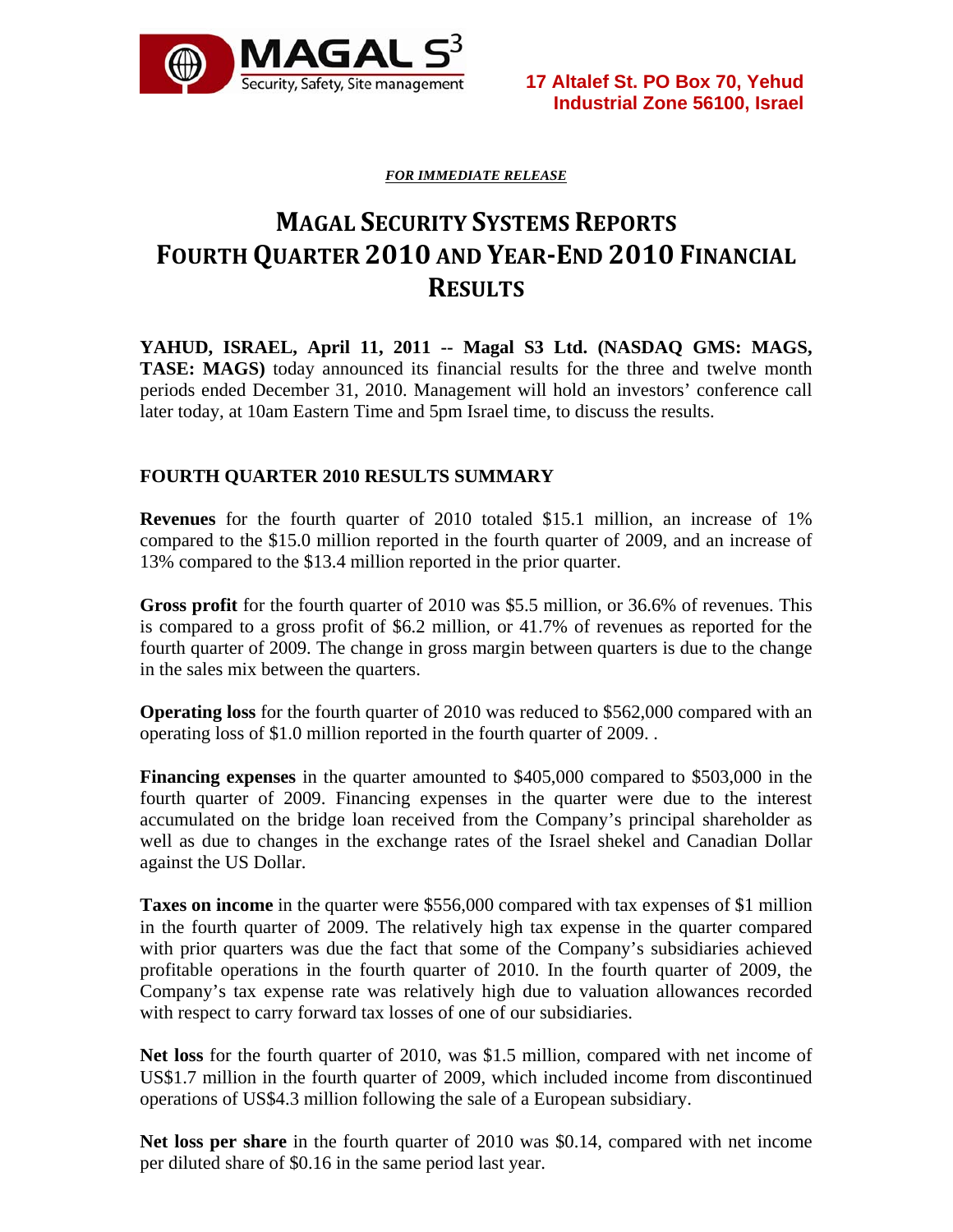

*FOR IMMEDIATE RELEASE*

# **MAGAL SECURITY SYSTEMS REPORTS FOURTH QUARTER 2010 AND YEAREND 2010 FINANCIAL RESULTS**

**YAHUD, ISRAEL, April 11, 2011 -- Magal S3 Ltd. (NASDAQ GMS: MAGS, TASE: MAGS**) today announced its financial results for the three and twelve month periods ended December 31, 2010. Management will hold an investors' conference call later today, at 10am Eastern Time and 5pm Israel time, to discuss the results.

### **FOURTH QUARTER 2010 RESULTS SUMMARY**

**Revenues** for the fourth quarter of 2010 totaled \$15.1 million, an increase of 1% compared to the \$15.0 million reported in the fourth quarter of 2009, and an increase of 13% compared to the \$13.4 million reported in the prior quarter.

**Gross profit** for the fourth quarter of 2010 was \$5.5 million, or 36.6% of revenues. This is compared to a gross profit of \$6.2 million, or 41.7% of revenues as reported for the fourth quarter of 2009. The change in gross margin between quarters is due to the change in the sales mix between the quarters.

**Operating loss** for the fourth quarter of 2010 was reduced to \$562,000 compared with an operating loss of \$1.0 million reported in the fourth quarter of 2009. .

**Financing expenses** in the quarter amounted to \$405,000 compared to \$503,000 in the fourth quarter of 2009. Financing expenses in the quarter were due to the interest accumulated on the bridge loan received from the Company's principal shareholder as well as due to changes in the exchange rates of the Israel shekel and Canadian Dollar against the US Dollar.

**Taxes on income** in the quarter were \$556,000 compared with tax expenses of \$1 million in the fourth quarter of 2009. The relatively high tax expense in the quarter compared with prior quarters was due the fact that some of the Company's subsidiaries achieved profitable operations in the fourth quarter of 2010. In the fourth quarter of 2009, the Company's tax expense rate was relatively high due to valuation allowances recorded with respect to carry forward tax losses of one of our subsidiaries.

**Net loss** for the fourth quarter of 2010, was \$1.5 million, compared with net income of US\$1.7 million in the fourth quarter of 2009, which included income from discontinued operations of US\$4.3 million following the sale of a European subsidiary.

**Net loss per share** in the fourth quarter of 2010 was \$0.14, compared with net income per diluted share of \$0.16 in the same period last year.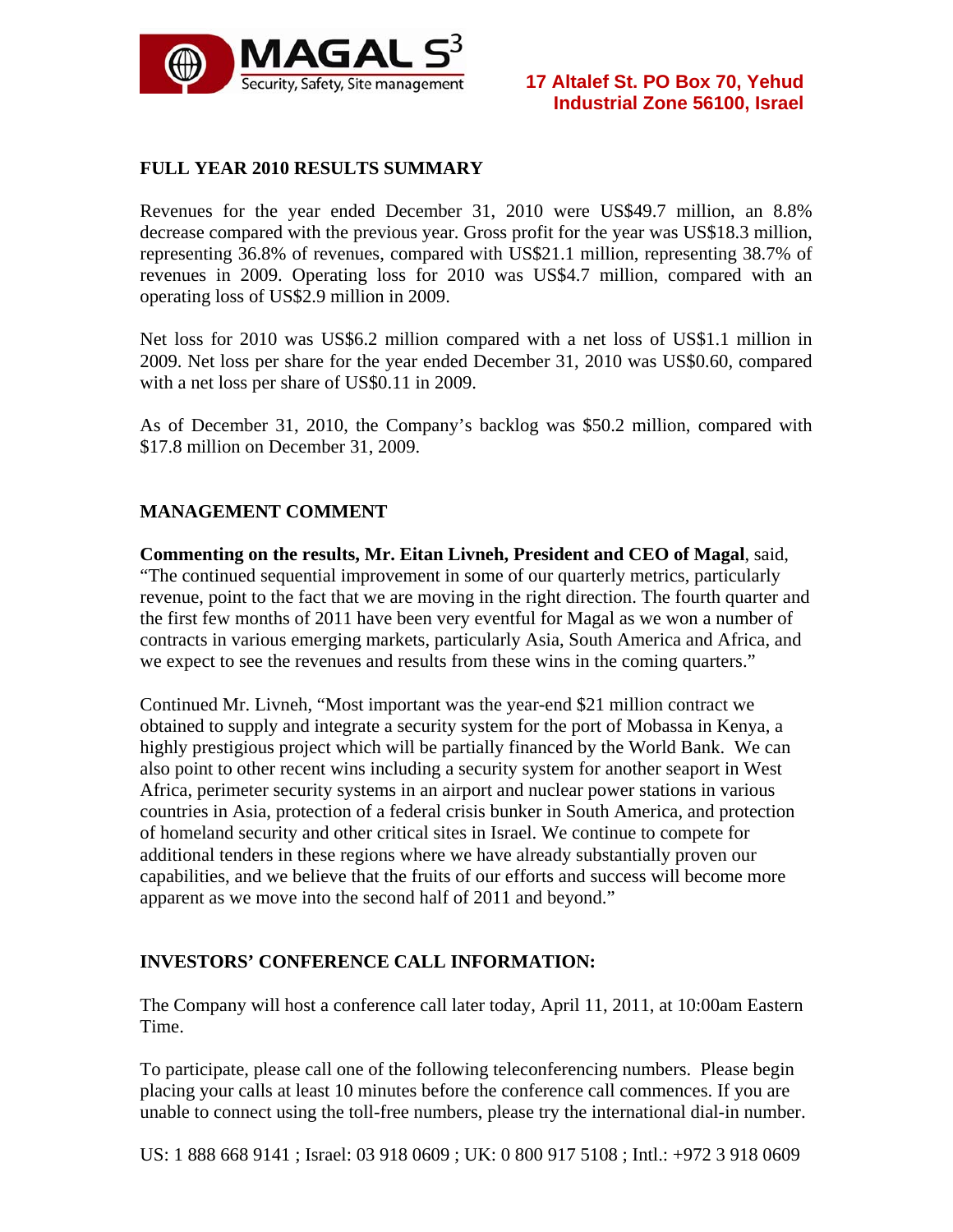

## **FULL YEAR 2010 RESULTS SUMMARY**

Revenues for the year ended December 31, 2010 were US\$49.7 million, an 8.8% decrease compared with the previous year. Gross profit for the year was US\$18.3 million, representing 36.8% of revenues, compared with US\$21.1 million, representing 38.7% of revenues in 2009. Operating loss for 2010 was US\$4.7 million, compared with an operating loss of US\$2.9 million in 2009.

Net loss for 2010 was US\$6.2 million compared with a net loss of US\$1.1 million in 2009. Net loss per share for the year ended December 31, 2010 was US\$0.60, compared with a net loss per share of US\$0.11 in 2009.

As of December 31, 2010, the Company's backlog was \$50.2 million, compared with \$17.8 million on December 31, 2009.

### **MANAGEMENT COMMENT**

**Commenting on the results, Mr. Eitan Livneh, President and CEO of Magal**, said, "The continued sequential improvement in some of our quarterly metrics, particularly revenue, point to the fact that we are moving in the right direction. The fourth quarter and the first few months of 2011 have been very eventful for Magal as we won a number of contracts in various emerging markets, particularly Asia, South America and Africa, and we expect to see the revenues and results from these wins in the coming quarters."

Continued Mr. Livneh, "Most important was the year-end \$21 million contract we obtained to supply and integrate a security system for the port of Mobassa in Kenya, a highly prestigious project which will be partially financed by the World Bank. We can also point to other recent wins including a security system for another seaport in West Africa, perimeter security systems in an airport and nuclear power stations in various countries in Asia, protection of a federal crisis bunker in South America, and protection of homeland security and other critical sites in Israel. We continue to compete for additional tenders in these regions where we have already substantially proven our capabilities, and we believe that the fruits of our efforts and success will become more apparent as we move into the second half of 2011 and beyond."

### **INVESTORS' CONFERENCE CALL INFORMATION:**

The Company will host a conference call later today, April 11, 2011, at 10:00am Eastern Time.

To participate, please call one of the following teleconferencing numbers. Please begin placing your calls at least 10 minutes before the conference call commences. If you are unable to connect using the toll-free numbers, please try the international dial-in number.

US: 1 888 668 9141 ; Israel: 03 918 0609 ; UK: 0 800 917 5108 ; Intl.: +972 3 918 0609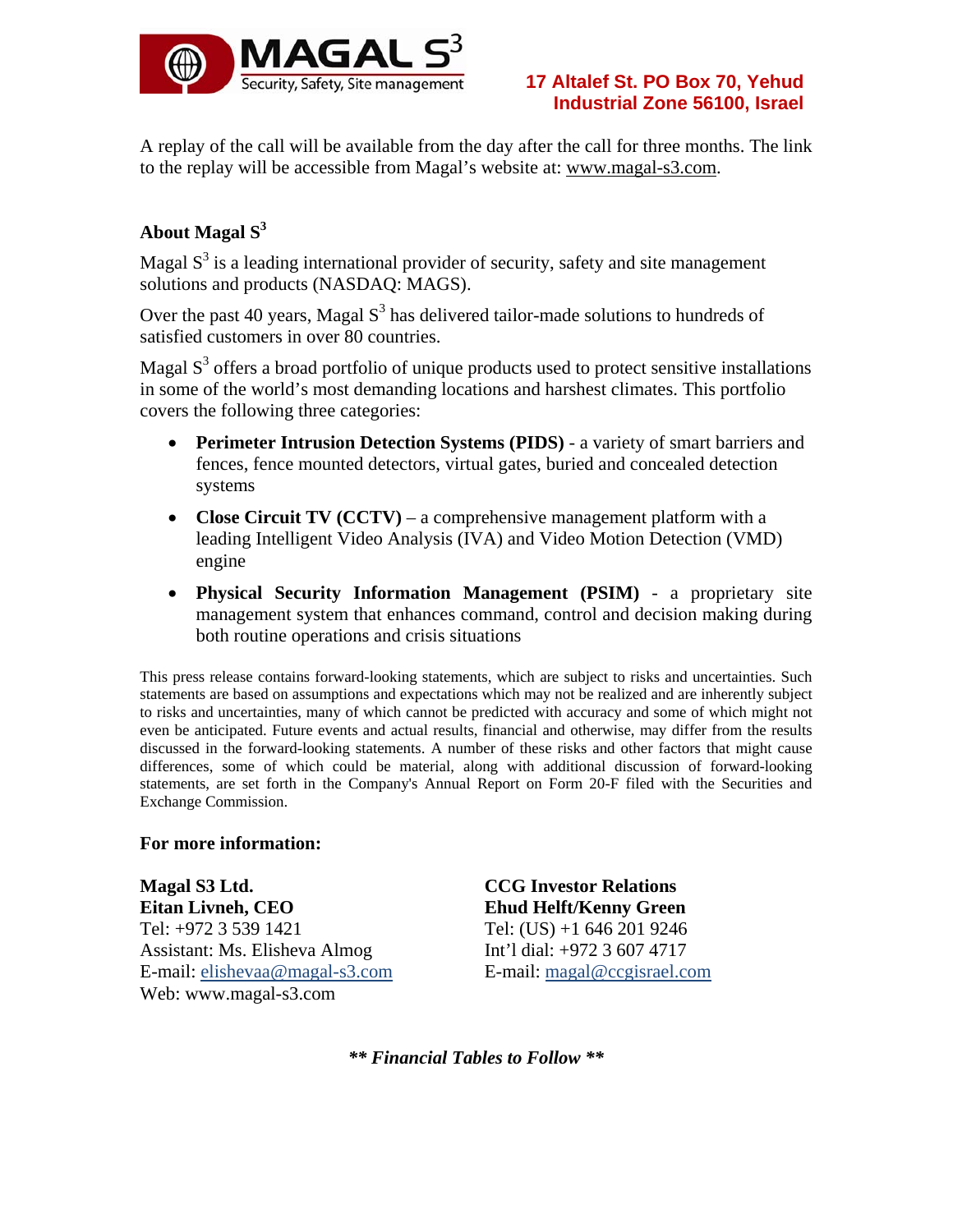

A replay of the call will be available from the day after the call for three months. The link to the replay will be accessible from Magal's website at: www.magal-s3.com.

# **About Magal S3**

Magal  $S<sup>3</sup>$  is a leading international provider of security, safety and site management solutions and products (NASDAQ: MAGS).

Over the past 40 years, Magal  $S<sup>3</sup>$  has delivered tailor-made solutions to hundreds of satisfied customers in over 80 countries.

Magal  $S<sup>3</sup>$  offers a broad portfolio of unique products used to protect sensitive installations in some of the world's most demanding locations and harshest climates. This portfolio covers the following three categories:

- **Perimeter Intrusion Detection Systems (PIDS)**  a variety of smart barriers and fences, fence mounted detectors, virtual gates, buried and concealed detection systems
- **Close Circuit TV (CCTV)** a comprehensive management platform with a leading Intelligent Video Analysis (IVA) and Video Motion Detection (VMD) engine
- **Physical Security Information Management (PSIM)** a proprietary site management system that enhances command, control and decision making during both routine operations and crisis situations

This press release contains forward-looking statements, which are subject to risks and uncertainties. Such statements are based on assumptions and expectations which may not be realized and are inherently subject to risks and uncertainties, many of which cannot be predicted with accuracy and some of which might not even be anticipated. Future events and actual results, financial and otherwise, may differ from the results discussed in the forward-looking statements. A number of these risks and other factors that might cause differences, some of which could be material, along with additional discussion of forward-looking statements, are set forth in the Company's Annual Report on Form 20-F filed with the Securities and Exchange Commission.

### **For more information:**

**Magal S3 Ltd. Eitan Livneh, CEO**  Tel: +972 3 539 1421 Assistant: Ms. Elisheva Almog E-mail: elishevaa@magal-s3.com Web: www.magal-s3.com

**CCG Investor Relations Ehud Helft/Kenny Green** Tel: (US) +1 646 201 9246 Int'l dial: +972 3 607 4717 E-mail: magal@ccgisrael.com

*\*\* Financial Tables to Follow \*\**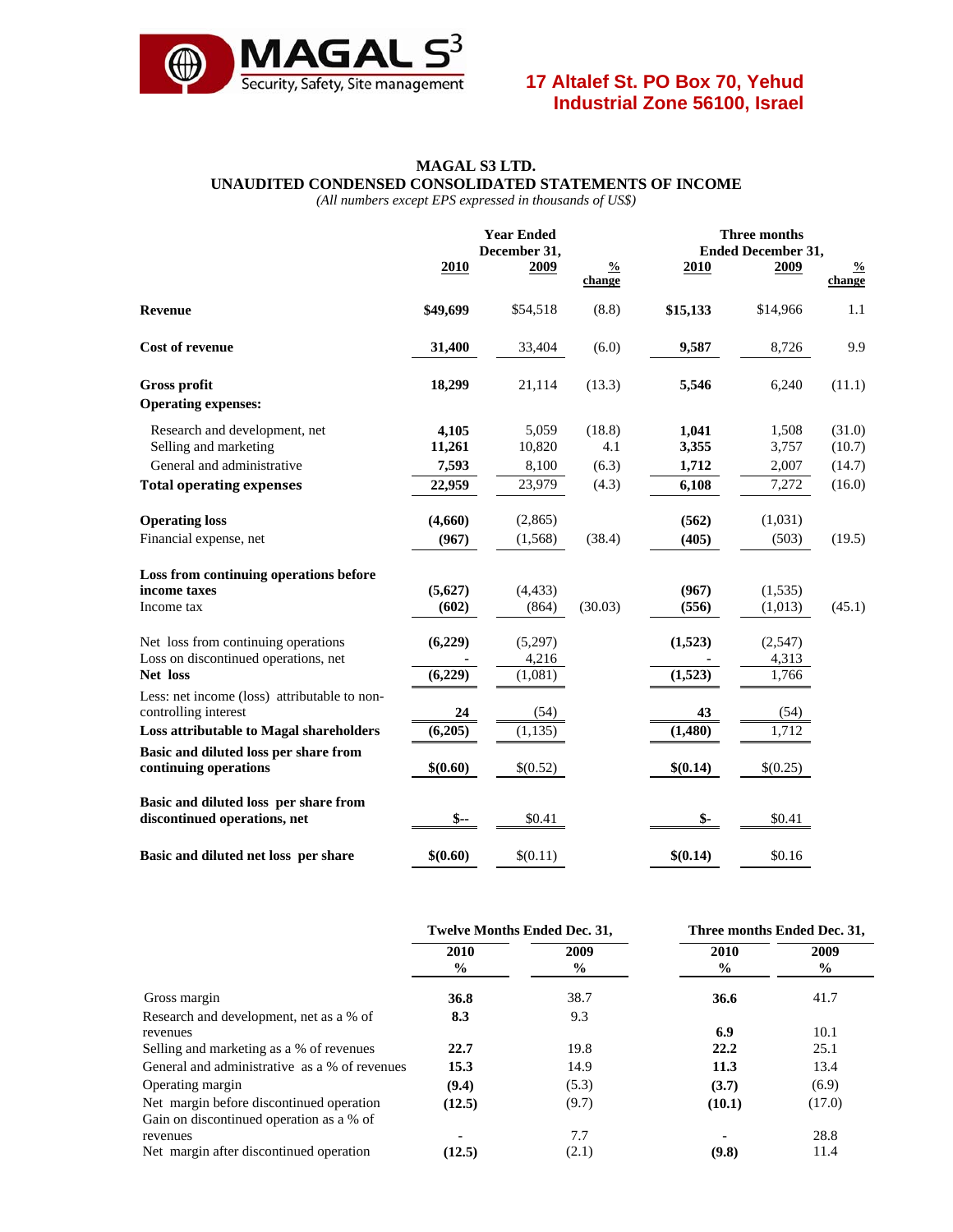

#### **MAGAL S3 LTD. UNAUDITED CONDENSED CONSOLIDATED STATEMENTS OF INCOME**

*(All numbers except EPS expressed in thousands of US\$)* 

|                                                                       |                 | <b>Year Ended</b><br>December 31, |                         |                | <b>Three months</b><br><b>Ended December 31,</b> |                         |  |
|-----------------------------------------------------------------------|-----------------|-----------------------------------|-------------------------|----------------|--------------------------------------------------|-------------------------|--|
|                                                                       | 2010            | 2009                              | $\frac{0}{2}$<br>change | 2010           | 2009                                             | $\frac{0}{0}$<br>change |  |
| <b>Revenue</b>                                                        | \$49,699        | \$54,518                          | (8.8)                   | \$15,133       | \$14,966                                         | 1.1                     |  |
| <b>Cost of revenue</b>                                                | 31,400          | 33,404                            | (6.0)                   | 9,587          | 8,726                                            | 9.9                     |  |
| Gross profit                                                          | 18,299          | 21,114                            | (13.3)                  | 5,546          | 6,240                                            | (11.1)                  |  |
| <b>Operating expenses:</b>                                            |                 |                                   |                         |                |                                                  |                         |  |
| Research and development, net<br>Selling and marketing                | 4,105<br>11,261 | 5,059<br>10,820                   | (18.8)<br>4.1           | 1,041<br>3,355 | 1,508<br>3,757                                   | (31.0)<br>(10.7)        |  |
| General and administrative                                            | 7,593           | 8,100                             | (6.3)                   | 1,712          | 2,007                                            | (14.7)                  |  |
| <b>Total operating expenses</b>                                       | 22,959          | 23,979                            | (4.3)                   | 6,108          | 7,272                                            | (16.0)                  |  |
| <b>Operating loss</b>                                                 | (4,660)         | (2,865)                           |                         | (562)          | (1,031)                                          |                         |  |
| Financial expense, net                                                | (967)           | (1,568)                           | (38.4)                  | (405)          | (503)                                            | (19.5)                  |  |
| Loss from continuing operations before                                |                 |                                   |                         |                |                                                  |                         |  |
| income taxes                                                          | (5,627)         | (4, 433)                          |                         | (967)          | (1,535)                                          |                         |  |
| Income tax                                                            | (602)           | (864)                             | (30.03)                 | (556)          | (1,013)                                          | (45.1)                  |  |
| Net loss from continuing operations                                   | (6,229)         | (5,297)                           |                         | (1,523)        | (2,547)                                          |                         |  |
| Loss on discontinued operations, net                                  |                 | 4,216                             |                         |                | 4,313                                            |                         |  |
| Net loss                                                              | (6,229)         | (1,081)                           |                         | (1,523)        | 1,766                                            |                         |  |
| Less: net income (loss) attributable to non-<br>controlling interest  | 24              | (54)                              |                         | 43             | (54)                                             |                         |  |
| Loss attributable to Magal shareholders                               | (6,205)         | (1, 135)                          |                         | (1,480)        | 1,712                                            |                         |  |
| Basic and diluted loss per share from<br>continuing operations        | \$(0.60)        | \$(0.52)                          |                         | \$(0.14)       | \$(0.25)                                         |                         |  |
| Basic and diluted loss per share from<br>discontinued operations, net | $S-$            | \$0.41                            |                         | $\mathsf{\$}$  | \$0.41                                           |                         |  |
| Basic and diluted net loss per share                                  | \$(0.60)        | \$(0.11)                          |                         | \$(0.14)       | \$0.16                                           |                         |  |

|                                               | <b>Twelve Months Ended Dec. 31,</b> |                       | Three months Ended Dec. 31, |              |
|-----------------------------------------------|-------------------------------------|-----------------------|-----------------------------|--------------|
|                                               | 2010<br>$\frac{6}{9}$               | 2009<br>$\frac{6}{9}$ | 2010<br>$\frac{1}{2}$       | 2009<br>$\%$ |
| Gross margin                                  | 36.8                                | 38.7                  | 36.6                        | 41.7         |
| Research and development, net as a % of       | 8.3                                 | 9.3                   |                             |              |
| revenues                                      |                                     |                       | 6.9                         | 10.1         |
| Selling and marketing as a % of revenues      | 22.7                                | 19.8                  | 22.2                        | 25.1         |
| General and administrative as a % of revenues | 15.3                                | 14.9                  | 11.3                        | 13.4         |
| Operating margin                              | (9.4)                               | (5.3)                 | (3.7)                       | (6.9)        |
| Net margin before discontinued operation      | (12.5)                              | (9.7)                 | (10.1)                      | (17.0)       |
| Gain on discontinued operation as a % of      |                                     |                       |                             |              |
| revenues                                      | ۰                                   | 7.7                   |                             | 28.8         |
| Net margin after discontinued operation       | (12.5)                              | (2.1)                 | (9.8)                       | 11.4         |